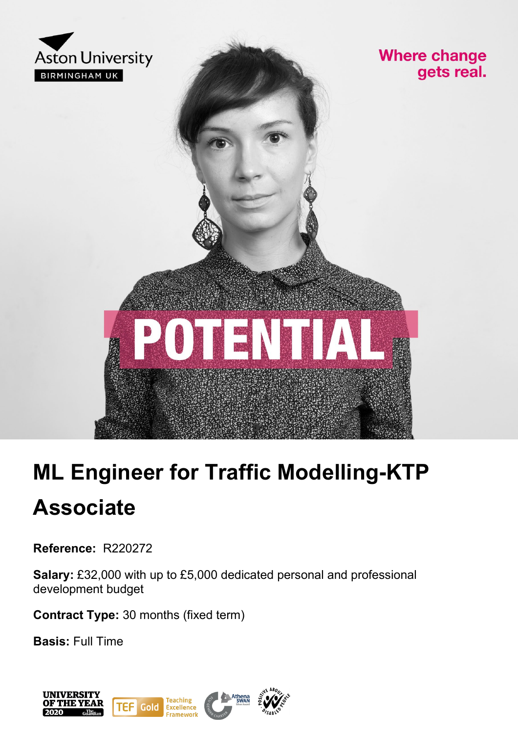

### **Where change** gets real.



# **ML Engineer for Traffic Modelling-KTP Associate**

**Reference:** R220272

**Salary:** £32,000 with up to £5,000 dedicated personal and professional development budget

**Contract Type:** 30 months (fixed term)

**Basis:** Full Time

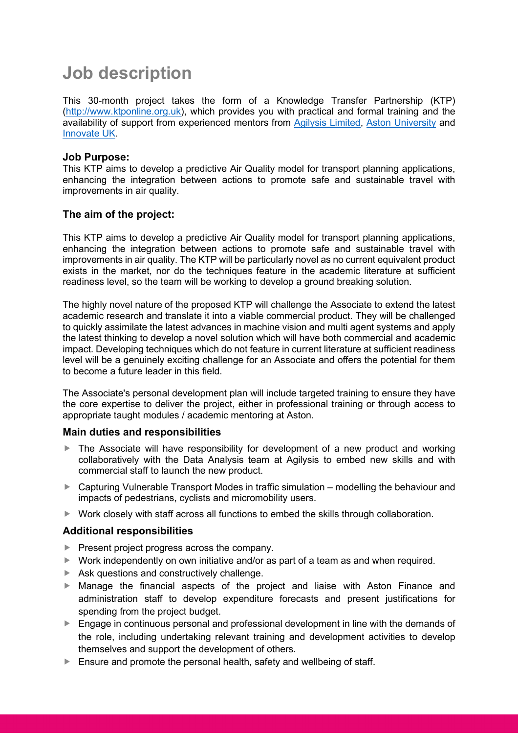### **Job description**

This 30-month project takes the form of a Knowledge Transfer Partnership (KTP) [\(http://www.ktponline.org.uk\)](http://www.ktponline.org.uk/), which provides you with practical and formal training and the availability of support from experienced mentors from [Agilysis Limited,](https://agilysis.co.uk/) [Aston University](https://www.aston.ac.uk/) and [Innovate UK.](https://www.ukri.org/councils/innovate-uk/)

### **Job Purpose:**

This KTP aims to develop a predictive Air Quality model for transport planning applications, enhancing the integration between actions to promote safe and sustainable travel with improvements in air quality.

### **The aim of the project:**

This KTP aims to develop a predictive Air Quality model for transport planning applications, enhancing the integration between actions to promote safe and sustainable travel with improvements in air quality. The KTP will be particularly novel as no current equivalent product exists in the market, nor do the techniques feature in the academic literature at sufficient readiness level, so the team will be working to develop a ground breaking solution.

The highly novel nature of the proposed KTP will challenge the Associate to extend the latest academic research and translate it into a viable commercial product. They will be challenged to quickly assimilate the latest advances in machine vision and multi agent systems and apply the latest thinking to develop a novel solution which will have both commercial and academic impact. Developing techniques which do not feature in current literature at sufficient readiness level will be a genuinely exciting challenge for an Associate and offers the potential for them to become a future leader in this field.

The Associate's personal development plan will include targeted training to ensure they have the core expertise to deliver the project, either in professional training or through access to appropriate taught modules / academic mentoring at Aston.

### **Main duties and responsibilities**

- The Associate will have responsibility for development of a new product and working collaboratively with the Data Analysis team at Agilysis to embed new skills and with commercial staff to launch the new product.
- ▶ Capturing Vulnerable Transport Modes in traffic simulation modelling the behaviour and impacts of pedestrians, cyclists and micromobility users.
- $\triangleright$  Work closely with staff across all functions to embed the skills through collaboration.

### **Additional responsibilities**

- Present project progress across the company.
- $\triangleright$  Work independently on own initiative and/or as part of a team as and when required.
- $\blacktriangleright$  Ask questions and constructively challenge.
- Manage the financial aspects of the project and liaise with Aston Finance and administration staff to develop expenditure forecasts and present justifications for spending from the project budget.
- **Engage in continuous personal and professional development in line with the demands of** the role, including undertaking relevant training and development activities to develop themselves and support the development of others.
- Ensure and promote the personal health, safety and wellbeing of staff.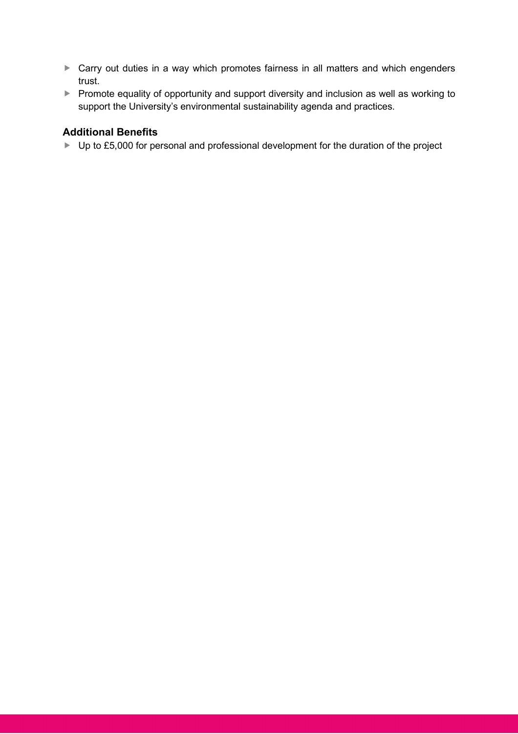- ▶ Carry out duties in a way which promotes fairness in all matters and which engenders trust.
- Promote equality of opportunity and support diversity and inclusion as well as working to support the University's environmental sustainability agenda and practices.

### **Additional Benefits**

▶ Up to £5,000 for personal and professional development for the duration of the project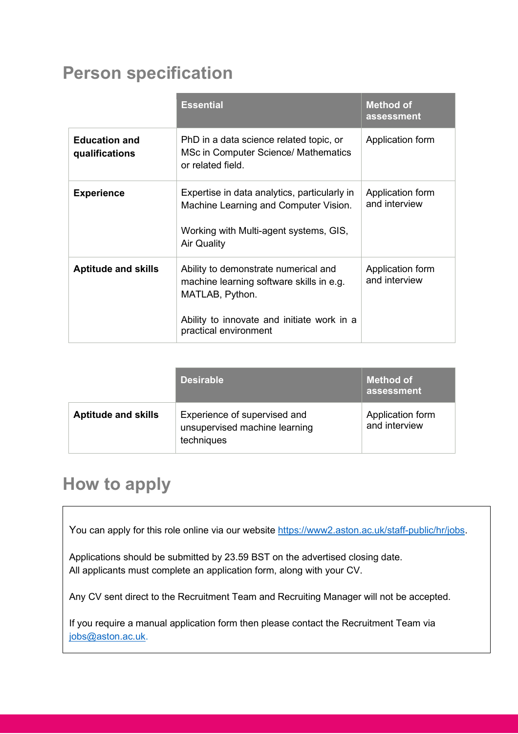### **Person specification**

|                                        | <b>Essential</b>                                                                                                                                                           | <b>Method of</b><br>assessment    |
|----------------------------------------|----------------------------------------------------------------------------------------------------------------------------------------------------------------------------|-----------------------------------|
| <b>Education and</b><br>qualifications | PhD in a data science related topic, or<br>MSc in Computer Science/ Mathematics<br>or related field.                                                                       | Application form                  |
| <b>Experience</b>                      | Expertise in data analytics, particularly in<br>Machine Learning and Computer Vision.<br>Working with Multi-agent systems, GIS,<br><b>Air Quality</b>                      | Application form<br>and interview |
| <b>Aptitude and skills</b>             | Ability to demonstrate numerical and<br>machine learning software skills in e.g.<br>MATLAB, Python.<br>Ability to innovate and initiate work in a<br>practical environment | Application form<br>and interview |

|                            | <b>Desirable</b>                                                            | <b>Method of</b><br>assessment    |
|----------------------------|-----------------------------------------------------------------------------|-----------------------------------|
| <b>Aptitude and skills</b> | Experience of supervised and<br>unsupervised machine learning<br>techniques | Application form<br>and interview |

## **How to apply**

You can apply for this role online via our website [https://www2.aston.ac.uk/staff-public/hr/jobs.](https://www2.aston.ac.uk/staff-public/hr/jobs)

Applications should be submitted by 23.59 BST on the advertised closing date. All applicants must complete an application form, along with your CV.

Any CV sent direct to the Recruitment Team and Recruiting Manager will not be accepted.

If you require a manual application form then please contact the Recruitment Team via [jobs@aston.ac.uk.](mailto:jobs@aston.ac.uk)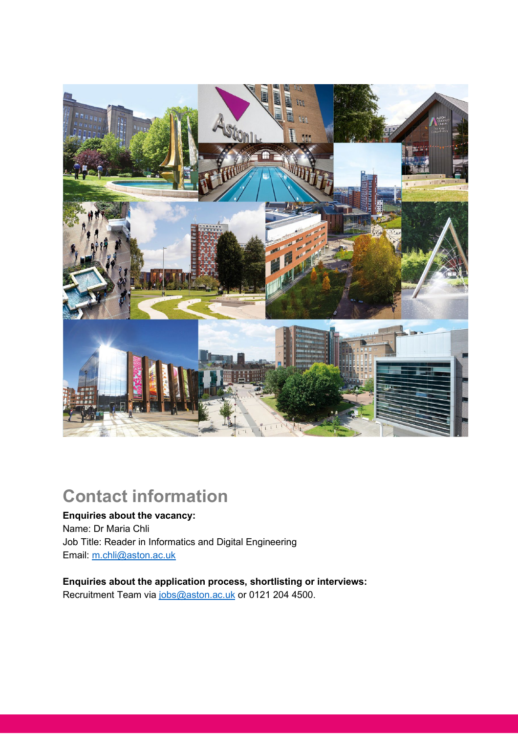

### **Contact information**

**Enquiries about the vacancy:** Name: Dr Maria Chli Job Title: Reader in Informatics and Digital Engineering Email: [m.chli@aston.ac.uk](mailto:m.chli@aston.ac.uk) 

**Enquiries about the application process, shortlisting or interviews:** Recruitment Team via [jobs@aston.ac.uk](mailto:jobs@aston.ac.uk) or 0121 204 4500.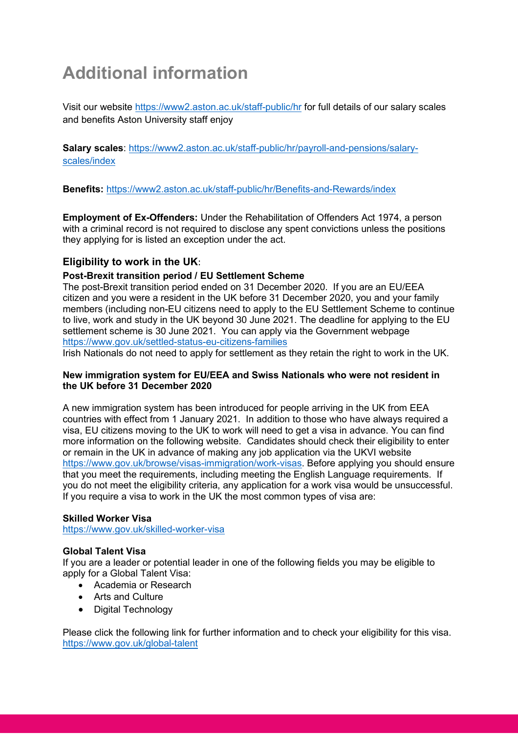## **Additional information**

Visit our website<https://www2.aston.ac.uk/staff-public/hr> for full details of our salary scales and benefits Aston University staff enjoy

**Salary scales**: [https://www2.aston.ac.uk/staff-public/hr/payroll-and-pensions/salary](https://www2.aston.ac.uk/staff-public/hr/payroll-and-pensions/salary-scales/index)[scales/index](https://www2.aston.ac.uk/staff-public/hr/payroll-and-pensions/salary-scales/index)

**Benefits:** <https://www2.aston.ac.uk/staff-public/hr/Benefits-and-Rewards/index>

**Employment of Ex-Offenders:** Under the Rehabilitation of Offenders Act 1974, a person with a criminal record is not required to disclose any spent convictions unless the positions they applying for is listed an exception under the act.

### **Eligibility to work in the UK**:

### **Post-Brexit transition period / EU Settlement Scheme**

The post-Brexit transition period ended on 31 December 2020. If you are an EU/EEA citizen and you were a resident in the UK before 31 December 2020, you and your family members (including non-EU citizens need to apply to the EU Settlement Scheme to continue to live, work and study in the UK beyond 30 June 2021. The deadline for applying to the EU settlement scheme is 30 June 2021. You can apply via the Government webpage <https://www.gov.uk/settled-status-eu-citizens-families>

Irish Nationals do not need to apply for settlement as they retain the right to work in the UK.

### **New immigration system for EU/EEA and Swiss Nationals who were not resident in the UK before 31 December 2020**

A new immigration system has been introduced for people arriving in the UK from EEA countries with effect from 1 January 2021. In addition to those who have always required a visa, EU citizens moving to the UK to work will need to get a visa in advance. You can find more information on the following website. Candidates should check their eligibility to enter or remain in the UK in advance of making any job application via the UKVI website [https://www.gov.uk/browse/visas-immigration/work-visas.](https://www.gov.uk/browse/visas-immigration/work-visas) Before applying you should ensure that you meet the requirements, including meeting the English Language requirements. If you do not meet the eligibility criteria, any application for a work visa would be unsuccessful. If you require a visa to work in the UK the most common types of visa are:

### **Skilled Worker Visa**

<https://www.gov.uk/skilled-worker-visa>

### **Global Talent Visa**

If you are a leader or potential leader in one of the following fields you may be eligible to apply for a Global Talent Visa:

- Academia or Research
- Arts and Culture
- Digital Technology

Please click the following link for further information and to check your eligibility for this visa. <https://www.gov.uk/global-talent>